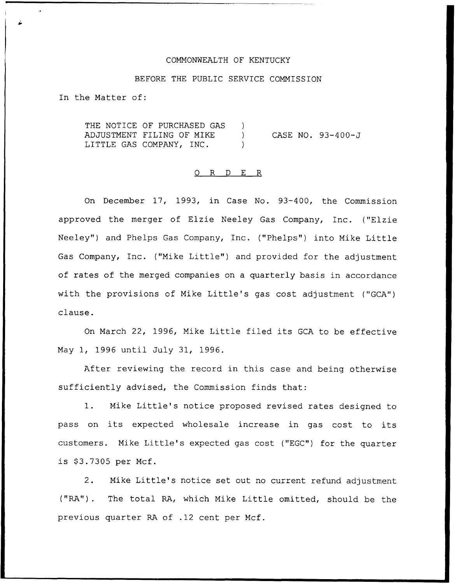### COMMONWEALTH OF KENTUCKY

## BEFORE THE PUBLIC SERVICE COMMISSION

In the Matter of:

THE NOTICE OF PURCHASED GAS ) ADJUSTMENT FILING OF NIKE ) LITTLE GAS COMPANY, INC. CASE NO. 93-400-J

## 0 R <sup>D</sup> E R

On December 17, 1993, in Case No. 93-400, the Commission approved the merger of Elzie Neeley Gas Company, Inc. ("Elzie Neeley") and Phelps Gas Company, Inc. ("Phelps") into Mike Little Gas Company, Inc. ("Mike Little") and provided for the adjustment of rates of the merged companies on a quarterly basis in accordance with the provisions of Mike Little's gas cost adjustment ("GCA") clause.

On March 22, 1996, Nike Little filed its GCA to be effective Nay 1, 1996 until July 31, 1996.

After reviewing the record in this case and being otherwise sufficiently advised, the Commission finds that:

1. Mike Little's notice proposed revised rates designed to pass on its expected wholesale increase in gas cost to its customers. Mike Little's expected gas cost ("EGC") for the quarter is \$3.7305 per Mcf.

2. Nike Little's notice set out no current refund adjustment ("RA"). The total RA, which Mike Little omitted, should be the previous quarter RA of .12 cent per Ncf.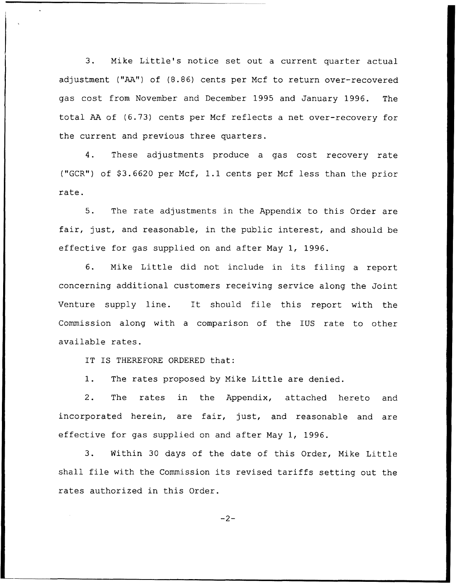3. Mike Little's notice set out <sup>a</sup> current quarter actual adjustment ("AA") of (8.86) cents per Ncf to return over-recovered gas cost from November and December 1995 and January 1996. The total AA of (6.73) cents per Mcf reflects a net over-recovery for the current and previous three quarters.

4. These adjustments produce a gas cost recovery rate ("GCR") of  $$3.6620$  per Mcf, 1.1 cents per Mcf less than the prior rate.

5. The rate adjustments in the Appendix to this Order are fair, just, and reasonable, in the public interest, and should be effective for gas supplied on and after May 1, 1996.

6. Nike Little did not include in its filing <sup>a</sup> report concerning additional customers receiving service along the Joint Venture supply line. It should file this report with the Commission along with a comparison of the IUS rate to other available rates.

IT IS THEREFORE ORDERED that:

1. The rates proposed by Mike Little are denied.

2. The rates in the Appendix, attached hereto and incorporated herein, are fair, just, and reasonable and are effective for gas supplied on and after Nay 1, 1996.

3. Within <sup>30</sup> days of the date of this Order, Mike Little shall file with the Commission its revised tariffs setting out the rates authorized in this Order.

 $-2-$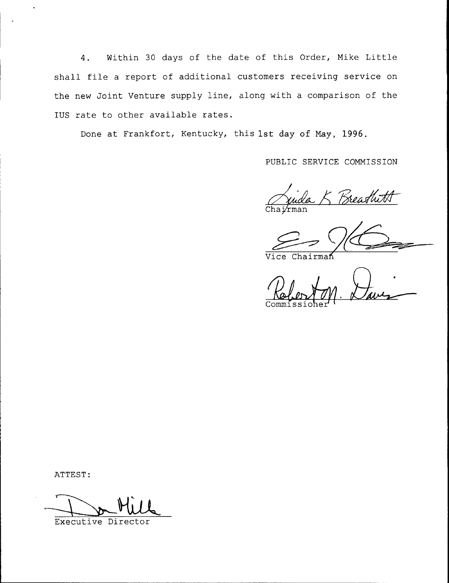4. Within 30 days of the date of this Order, Mike Little shall file <sup>a</sup> report of additional customers receiving service on the new Joint Venture supply line, along with a comparison of the IUS rate to other available rates.

Done at Frankfort, Kentucky, this 1st day of May, 1996.

PUBLIC SERVICE COMMISSION

Breathith Chaj⁄rma

Vice Chairma<mark>ñ</mark>

Commissioher

ATTEST:

Executive Director